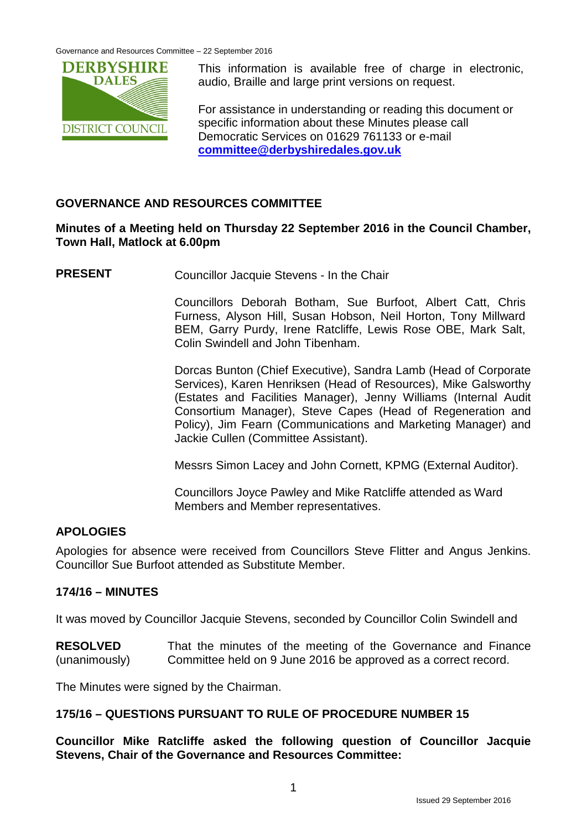

This information is available free of charge in electronic, audio, Braille and large print versions on request.

For assistance in understanding or reading this document or specific information about these Minutes please call Democratic Services on 01629 761133 or e-mail **[committee@derbyshiredales.gov.uk](mailto:committee@derbyshiredales.gov.uk)**

# **GOVERNANCE AND RESOURCES COMMITTEE**

## **Minutes of a Meeting held on Thursday 22 September 2016 in the Council Chamber, Town Hall, Matlock at 6.00pm**

**PRESENT** Councillor Jacquie Stevens - In the Chair

Councillors Deborah Botham, Sue Burfoot, Albert Catt, Chris Furness, Alyson Hill, Susan Hobson, Neil Horton, Tony Millward BEM, Garry Purdy, Irene Ratcliffe, Lewis Rose OBE, Mark Salt, Colin Swindell and John Tibenham.

Dorcas Bunton (Chief Executive), Sandra Lamb (Head of Corporate Services), Karen Henriksen (Head of Resources), Mike Galsworthy (Estates and Facilities Manager), Jenny Williams (Internal Audit Consortium Manager), Steve Capes (Head of Regeneration and Policy), Jim Fearn (Communications and Marketing Manager) and Jackie Cullen (Committee Assistant).

Messrs Simon Lacey and John Cornett, KPMG (External Auditor).

Councillors Joyce Pawley and Mike Ratcliffe attended as Ward Members and Member representatives.

# **APOLOGIES**

Apologies for absence were received from Councillors Steve Flitter and Angus Jenkins. Councillor Sue Burfoot attended as Substitute Member.

# **174/16 – MINUTES**

It was moved by Councillor Jacquie Stevens, seconded by Councillor Colin Swindell and

**RESOLVED** (unanimously) That the minutes of the meeting of the Governance and Finance Committee held on 9 June 2016 be approved as a correct record.

The Minutes were signed by the Chairman.

## **175/16 – QUESTIONS PURSUANT TO RULE OF PROCEDURE NUMBER 15**

**Councillor Mike Ratcliffe asked the following question of Councillor Jacquie Stevens, Chair of the Governance and Resources Committee:**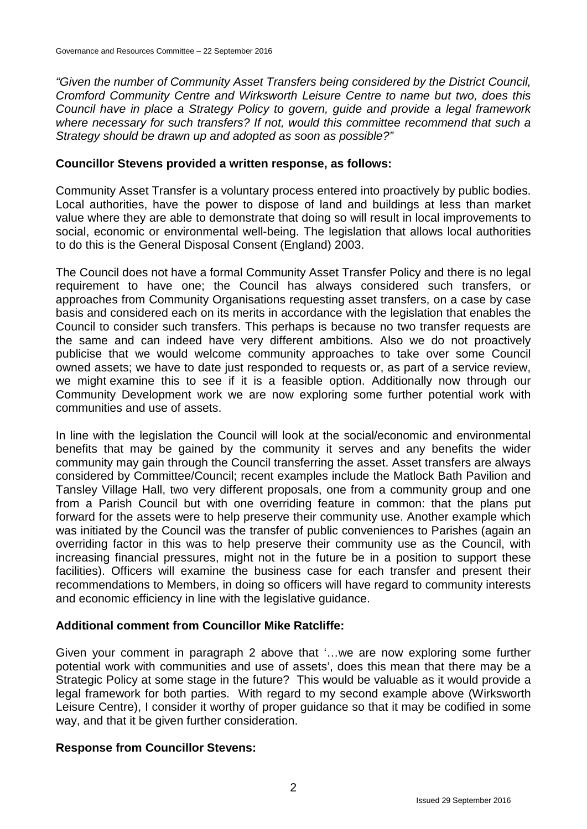*"Given the number of Community Asset Transfers being considered by the District Council, Cromford Community Centre and Wirksworth Leisure Centre to name but two, does this Council have in place a Strategy Policy to govern, guide and provide a legal framework*  where necessary for such transfers? If not, would this committee recommend that such a *Strategy should be drawn up and adopted as soon as possible?"*

#### **Councillor Stevens provided a written response, as follows:**

Community Asset Transfer is a voluntary process entered into proactively by public bodies. Local authorities, have the power to dispose of land and buildings at less than market value where they are able to demonstrate that doing so will result in local improvements to social, economic or environmental well-being. The legislation that allows local authorities to do this is the General Disposal Consent (England) 2003.

The Council does not have a formal Community Asset Transfer Policy and there is no legal requirement to have one; the Council has always considered such transfers, or approaches from Community Organisations requesting asset transfers, on a case by case basis and considered each on its merits in accordance with the legislation that enables the Council to consider such transfers. This perhaps is because no two transfer requests are the same and can indeed have very different ambitions. Also we do not proactively publicise that we would welcome community approaches to take over some Council owned assets; we have to date just responded to requests or, as part of a service review, we might examine this to see if it is a feasible option. Additionally now through our Community Development work we are now exploring some further potential work with communities and use of assets.

In line with the legislation the Council will look at the social/economic and environmental benefits that may be gained by the community it serves and any benefits the wider community may gain through the Council transferring the asset. Asset transfers are always considered by Committee/Council; recent examples include the Matlock Bath Pavilion and Tansley Village Hall, two very different proposals, one from a community group and one from a Parish Council but with one overriding feature in common: that the plans put forward for the assets were to help preserve their community use. Another example which was initiated by the Council was the transfer of public conveniences to Parishes (again an overriding factor in this was to help preserve their community use as the Council, with increasing financial pressures, might not in the future be in a position to support these facilities). Officers will examine the business case for each transfer and present their recommendations to Members, in doing so officers will have regard to community interests and economic efficiency in line with the legislative guidance.

## **Additional comment from Councillor Mike Ratcliffe:**

Given your comment in paragraph 2 above that '…we are now exploring some further potential work with communities and use of assets', does this mean that there may be a Strategic Policy at some stage in the future? This would be valuable as it would provide a legal framework for both parties. With regard to my second example above (Wirksworth Leisure Centre), I consider it worthy of proper guidance so that it may be codified in some way, and that it be given further consideration.

#### **Response from Councillor Stevens:**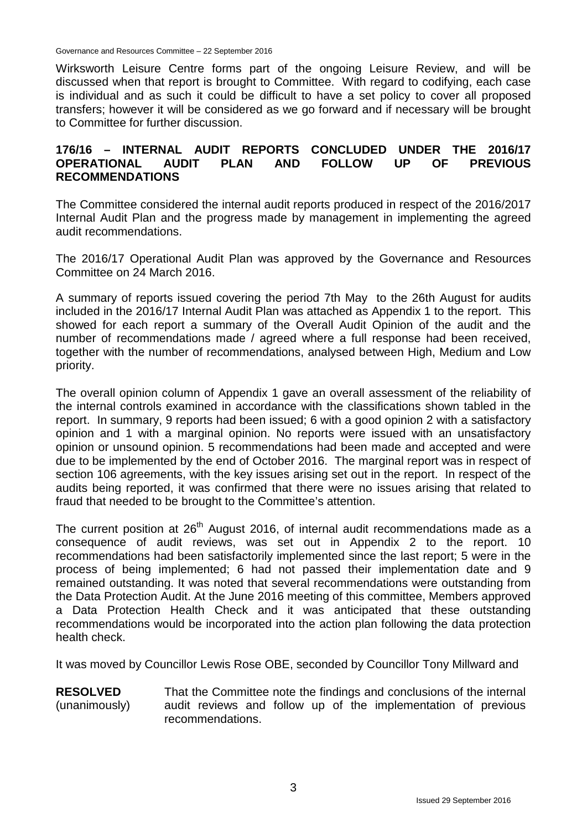Wirksworth Leisure Centre forms part of the ongoing Leisure Review, and will be discussed when that report is brought to Committee. With regard to codifying, each case is individual and as such it could be difficult to have a set policy to cover all proposed transfers; however it will be considered as we go forward and if necessary will be brought to Committee for further discussion.

## **176/16 – INTERNAL AUDIT REPORTS CONCLUDED UNDER THE 2016/17 OPERATIONAL AUDIT PLAN AND FOLLOW UP OF PREVIOUS RECOMMENDATIONS**

The Committee considered the internal audit reports produced in respect of the 2016/2017 Internal Audit Plan and the progress made by management in implementing the agreed audit recommendations.

The 2016/17 Operational Audit Plan was approved by the Governance and Resources Committee on 24 March 2016.

A summary of reports issued covering the period 7th May to the 26th August for audits included in the 2016/17 Internal Audit Plan was attached as Appendix 1 to the report. This showed for each report a summary of the Overall Audit Opinion of the audit and the number of recommendations made / agreed where a full response had been received, together with the number of recommendations, analysed between High, Medium and Low priority.

The overall opinion column of Appendix 1 gave an overall assessment of the reliability of the internal controls examined in accordance with the classifications shown tabled in the report. In summary, 9 reports had been issued; 6 with a good opinion 2 with a satisfactory opinion and 1 with a marginal opinion. No reports were issued with an unsatisfactory opinion or unsound opinion. 5 recommendations had been made and accepted and were due to be implemented by the end of October 2016. The marginal report was in respect of section 106 agreements, with the key issues arising set out in the report. In respect of the audits being reported, it was confirmed that there were no issues arising that related to fraud that needed to be brought to the Committee's attention.

The current position at 26<sup>th</sup> August 2016, of internal audit recommendations made as a consequence of audit reviews, was set out in Appendix 2 to the report. 10 recommendations had been satisfactorily implemented since the last report; 5 were in the process of being implemented; 6 had not passed their implementation date and 9 remained outstanding. It was noted that several recommendations were outstanding from the Data Protection Audit. At the June 2016 meeting of this committee, Members approved a Data Protection Health Check and it was anticipated that these outstanding recommendations would be incorporated into the action plan following the data protection health check.

It was moved by Councillor Lewis Rose OBE, seconded by Councillor Tony Millward and

**RESOLVED** (unanimously) That the Committee note the findings and conclusions of the internal audit reviews and follow up of the implementation of previous recommendations.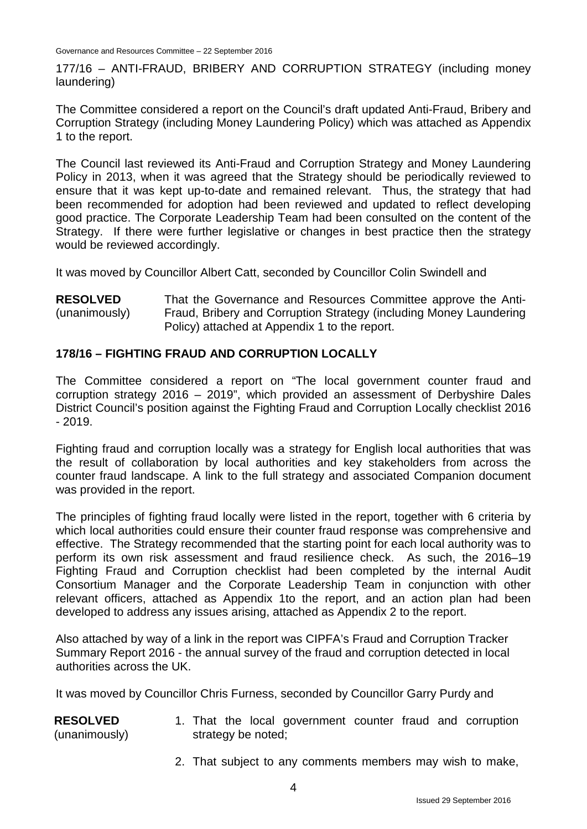177/16 – ANTI-FRAUD, BRIBERY AND CORRUPTION STRATEGY (including money laundering)

The Committee considered a report on the Council's draft updated Anti-Fraud, Bribery and Corruption Strategy (including Money Laundering Policy) which was attached as Appendix 1 to the report.

The Council last reviewed its Anti-Fraud and Corruption Strategy and Money Laundering Policy in 2013, when it was agreed that the Strategy should be periodically reviewed to ensure that it was kept up-to-date and remained relevant. Thus, the strategy that had been recommended for adoption had been reviewed and updated to reflect developing good practice. The Corporate Leadership Team had been consulted on the content of the Strategy. If there were further legislative or changes in best practice then the strategy would be reviewed accordingly.

It was moved by Councillor Albert Catt, seconded by Councillor Colin Swindell and

**RESOLVED** (unanimously) That the Governance and Resources Committee approve the Anti-Fraud, Bribery and Corruption Strategy (including Money Laundering Policy) attached at Appendix 1 to the report.

## **178/16 – FIGHTING FRAUD AND CORRUPTION LOCALLY**

The Committee considered a report on "The local government counter fraud and corruption strategy 2016 – 2019", which provided an assessment of Derbyshire Dales District Council's position against the Fighting Fraud and Corruption Locally checklist 2016  $-2019.$ 

Fighting fraud and corruption locally was a strategy for English local authorities that was the result of collaboration by local authorities and key stakeholders from across the counter fraud landscape. A link to the full strategy and associated Companion document was provided in the report.

The principles of fighting fraud locally were listed in the report, together with 6 criteria by which local authorities could ensure their counter fraud response was comprehensive and effective. The Strategy recommended that the starting point for each local authority was to perform its own risk assessment and fraud resilience check. As such, the 2016–19 Fighting Fraud and Corruption checklist had been completed by the internal Audit Consortium Manager and the Corporate Leadership Team in conjunction with other relevant officers, attached as Appendix 1to the report, and an action plan had been developed to address any issues arising, attached as Appendix 2 to the report.

Also attached by way of a link in the report was CIPFA's Fraud and Corruption Tracker Summary Report 2016 - the annual survey of the fraud and corruption detected in local authorities across the UK.

It was moved by Councillor Chris Furness, seconded by Councillor Garry Purdy and

- **RESOLVED** (unanimously) 1. That the local government counter fraud and corruption strategy be noted;
	- 2. That subject to any comments members may wish to make,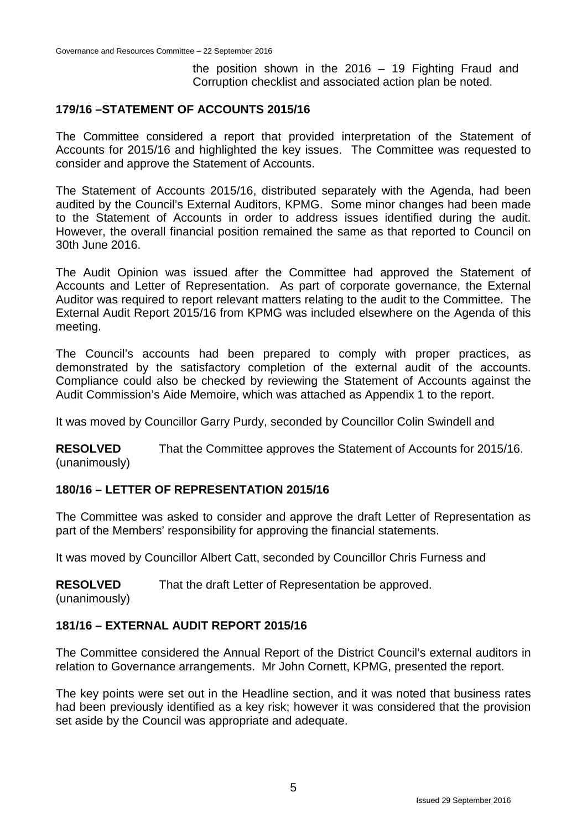the position shown in the 2016 – 19 Fighting Fraud and Corruption checklist and associated action plan be noted.

## **179/16 –STATEMENT OF ACCOUNTS 2015/16**

The Committee considered a report that provided interpretation of the Statement of Accounts for 2015/16 and highlighted the key issues. The Committee was requested to consider and approve the Statement of Accounts.

The Statement of Accounts 2015/16, distributed separately with the Agenda, had been audited by the Council's External Auditors, KPMG. Some minor changes had been made to the Statement of Accounts in order to address issues identified during the audit. However, the overall financial position remained the same as that reported to Council on 30th June 2016.

The Audit Opinion was issued after the Committee had approved the Statement of Accounts and Letter of Representation. As part of corporate governance, the External Auditor was required to report relevant matters relating to the audit to the Committee. The External Audit Report 2015/16 from KPMG was included elsewhere on the Agenda of this meeting.

The Council's accounts had been prepared to comply with proper practices, as demonstrated by the satisfactory completion of the external audit of the accounts. Compliance could also be checked by reviewing the Statement of Accounts against the Audit Commission's Aide Memoire, which was attached as Appendix 1 to the report.

It was moved by Councillor Garry Purdy, seconded by Councillor Colin Swindell and

**RESOLVED** (unanimously) That the Committee approves the Statement of Accounts for 2015/16.

## **180/16 – LETTER OF REPRESENTATION 2015/16**

The Committee was asked to consider and approve the draft Letter of Representation as part of the Members' responsibility for approving the financial statements.

It was moved by Councillor Albert Catt, seconded by Councillor Chris Furness and

**RESOLVED** That the draft Letter of Representation be approved.

(unanimously)

## **181/16 – EXTERNAL AUDIT REPORT 2015/16**

The Committee considered the Annual Report of the District Council's external auditors in relation to Governance arrangements. Mr John Cornett, KPMG, presented the report.

The key points were set out in the Headline section, and it was noted that business rates had been previously identified as a key risk; however it was considered that the provision set aside by the Council was appropriate and adequate.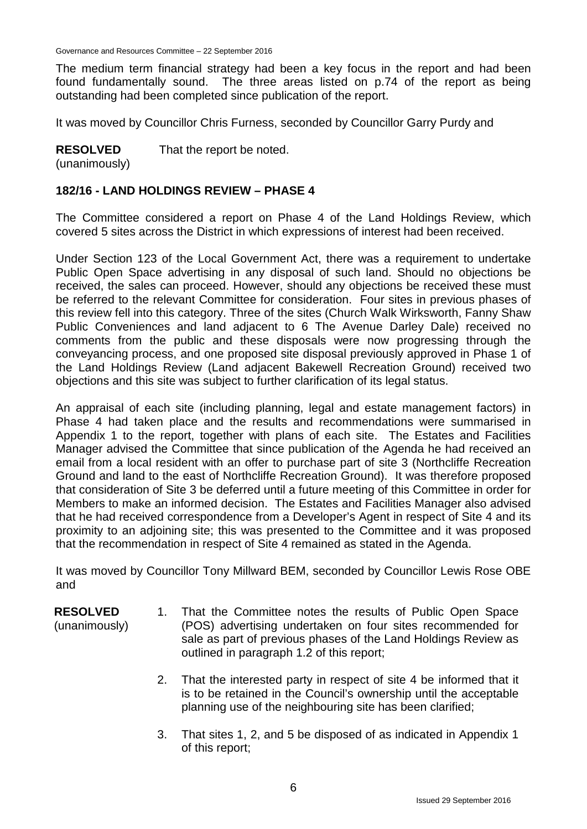The medium term financial strategy had been a key focus in the report and had been found fundamentally sound. The three areas listed on p.74 of the report as being outstanding had been completed since publication of the report.

It was moved by Councillor Chris Furness, seconded by Councillor Garry Purdy and

**RESOLVED** That the report be noted.

(unanimously)

## **182/16 - LAND HOLDINGS REVIEW – PHASE 4**

The Committee considered a report on Phase 4 of the Land Holdings Review, which covered 5 sites across the District in which expressions of interest had been received.

Under Section 123 of the Local Government Act, there was a requirement to undertake Public Open Space advertising in any disposal of such land. Should no objections be received, the sales can proceed. However, should any objections be received these must be referred to the relevant Committee for consideration. Four sites in previous phases of this review fell into this category. Three of the sites (Church Walk Wirksworth, Fanny Shaw Public Conveniences and land adjacent to 6 The Avenue Darley Dale) received no comments from the public and these disposals were now progressing through the conveyancing process, and one proposed site disposal previously approved in Phase 1 of the Land Holdings Review (Land adjacent Bakewell Recreation Ground) received two objections and this site was subject to further clarification of its legal status.

An appraisal of each site (including planning, legal and estate management factors) in Phase 4 had taken place and the results and recommendations were summarised in Appendix 1 to the report, together with plans of each site. The Estates and Facilities Manager advised the Committee that since publication of the Agenda he had received an email from a local resident with an offer to purchase part of site 3 (Northcliffe Recreation Ground and land to the east of Northcliffe Recreation Ground). It was therefore proposed that consideration of Site 3 be deferred until a future meeting of this Committee in order for Members to make an informed decision. The Estates and Facilities Manager also advised that he had received correspondence from a Developer's Agent in respect of Site 4 and its proximity to an adjoining site; this was presented to the Committee and it was proposed that the recommendation in respect of Site 4 remained as stated in the Agenda.

It was moved by Councillor Tony Millward BEM, seconded by Councillor Lewis Rose OBE and

## **RESOLVED**

(unanimously)

- 1. That the Committee notes the results of Public Open Space (POS) advertising undertaken on four sites recommended for sale as part of previous phases of the Land Holdings Review as outlined in paragraph 1.2 of this report;
	- 2. That the interested party in respect of site 4 be informed that it is to be retained in the Council's ownership until the acceptable planning use of the neighbouring site has been clarified;
	- 3. That sites 1, 2, and 5 be disposed of as indicated in Appendix 1 of this report;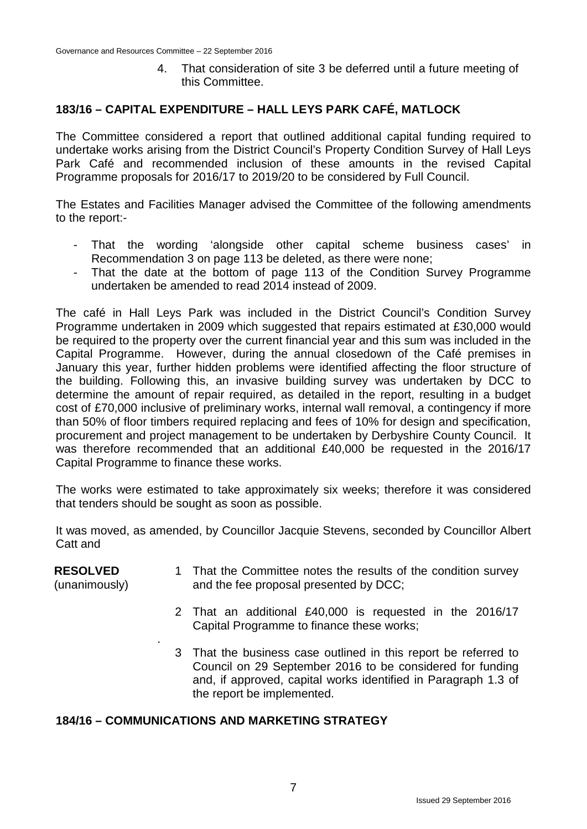4. That consideration of site 3 be deferred until a future meeting of this Committee.

## **183/16 – CAPITAL EXPENDITURE – HALL LEYS PARK CAFÉ, MATLOCK**

The Committee considered a report that outlined additional capital funding required to undertake works arising from the District Council's Property Condition Survey of Hall Leys Park Café and recommended inclusion of these amounts in the revised Capital Programme proposals for 2016/17 to 2019/20 to be considered by Full Council.

The Estates and Facilities Manager advised the Committee of the following amendments to the report:-

- That the wording 'alongside other capital scheme business cases' in Recommendation 3 on page 113 be deleted, as there were none;
- That the date at the bottom of page 113 of the Condition Survey Programme undertaken be amended to read 2014 instead of 2009.

The café in Hall Leys Park was included in the District Council's Condition Survey Programme undertaken in 2009 which suggested that repairs estimated at £30,000 would be required to the property over the current financial year and this sum was included in the Capital Programme. However, during the annual closedown of the Café premises in January this year, further hidden problems were identified affecting the floor structure of the building. Following this, an invasive building survey was undertaken by DCC to determine the amount of repair required, as detailed in the report, resulting in a budget cost of £70,000 inclusive of preliminary works, internal wall removal, a contingency if more than 50% of floor timbers required replacing and fees of 10% for design and specification, procurement and project management to be undertaken by Derbyshire County Council. It was therefore recommended that an additional £40,000 be requested in the 2016/17 Capital Programme to finance these works.

The works were estimated to take approximately six weeks; therefore it was considered that tenders should be sought as soon as possible.

It was moved, as amended, by Councillor Jacquie Stevens, seconded by Councillor Albert Catt and

#### **RESOLVED** (unanimously) 1 That the Committee notes the results of the condition survey and the fee proposal presented by DCC;

- 2 That an additional £40,000 is requested in the 2016/17 Capital Programme to finance these works;
- 3 That the business case outlined in this report be referred to Council on 29 September 2016 to be considered for funding and, if approved, capital works identified in Paragraph 1.3 of the report be implemented.

## **184/16 – COMMUNICATIONS AND MARKETING STRATEGY**

.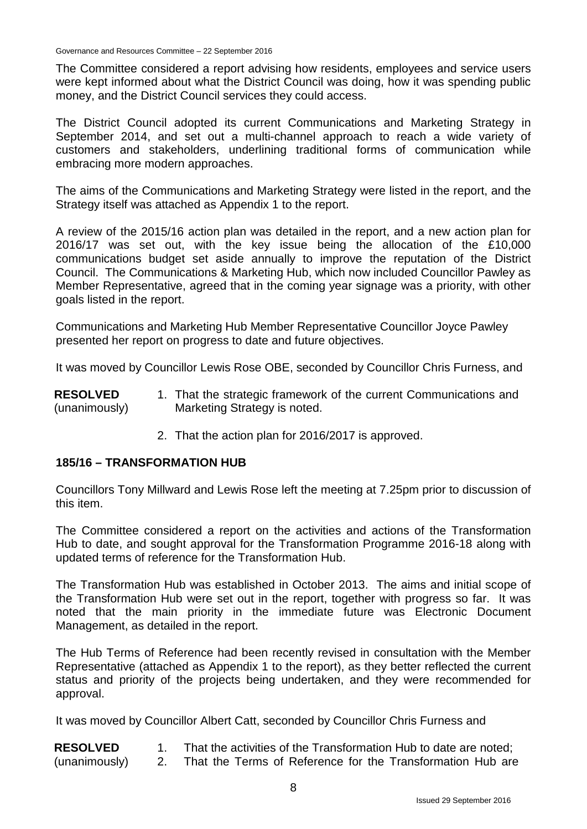The Committee considered a report advising how residents, employees and service users were kept informed about what the District Council was doing, how it was spending public money, and the District Council services they could access.

The District Council adopted its current Communications and Marketing Strategy in September 2014, and set out a multi-channel approach to reach a wide variety of customers and stakeholders, underlining traditional forms of communication while embracing more modern approaches.

The aims of the Communications and Marketing Strategy were listed in the report, and the Strategy itself was attached as Appendix 1 to the report.

A review of the 2015/16 action plan was detailed in the report, and a new action plan for 2016/17 was set out, with the key issue being the allocation of the £10,000 communications budget set aside annually to improve the reputation of the District Council. The Communications & Marketing Hub, which now included Councillor Pawley as Member Representative, agreed that in the coming year signage was a priority, with other goals listed in the report.

Communications and Marketing Hub Member Representative Councillor Joyce Pawley presented her report on progress to date and future objectives.

It was moved by Councillor Lewis Rose OBE, seconded by Councillor Chris Furness, and

**RESOLVED** (unanimously) 1. That the strategic framework of the current Communications and Marketing Strategy is noted.

2. That the action plan for 2016/2017 is approved.

## **185/16 – TRANSFORMATION HUB**

Councillors Tony Millward and Lewis Rose left the meeting at 7.25pm prior to discussion of this item.

The Committee considered a report on the activities and actions of the Transformation Hub to date, and sought approval for the Transformation Programme 2016-18 along with updated terms of reference for the Transformation Hub.

The Transformation Hub was established in October 2013. The aims and initial scope of the Transformation Hub were set out in the report, together with progress so far. It was noted that the main priority in the immediate future was Electronic Document Management, as detailed in the report.

The Hub Terms of Reference had been recently revised in consultation with the Member Representative (attached as Appendix 1 to the report), as they better reflected the current status and priority of the projects being undertaken, and they were recommended for approval.

It was moved by Councillor Albert Catt, seconded by Councillor Chris Furness and

- **RESOLVED** 1. That the activities of the Transformation Hub to date are noted;
- (unanimously) 2. That the Terms of Reference for the Transformation Hub are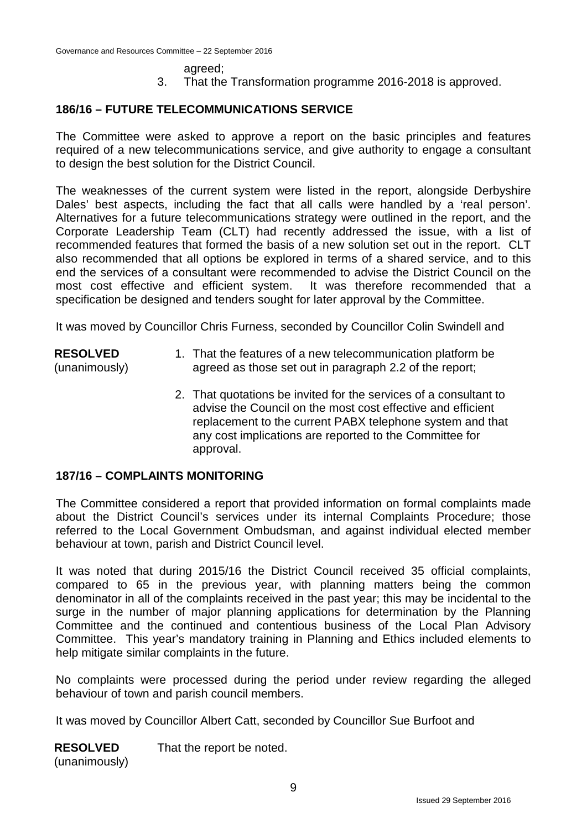agreed; 3. That the Transformation programme 2016-2018 is approved.

#### **186/16 – FUTURE TELECOMMUNICATIONS SERVICE**

The Committee were asked to approve a report on the basic principles and features required of a new telecommunications service, and give authority to engage a consultant to design the best solution for the District Council.

The weaknesses of the current system were listed in the report, alongside Derbyshire Dales' best aspects, including the fact that all calls were handled by a 'real person'. Alternatives for a future telecommunications strategy were outlined in the report, and the Corporate Leadership Team (CLT) had recently addressed the issue, with a list of recommended features that formed the basis of a new solution set out in the report. CLT also recommended that all options be explored in terms of a shared service, and to this end the services of a consultant were recommended to advise the District Council on the most cost effective and efficient system. It was therefore recommended that a specification be designed and tenders sought for later approval by the Committee.

It was moved by Councillor Chris Furness, seconded by Councillor Colin Swindell and

- **RESOLVED** (unanimously) 1. That the features of a new telecommunication platform be agreed as those set out in paragraph 2.2 of the report;
	- 2. That quotations be invited for the services of a consultant to advise the Council on the most cost effective and efficient replacement to the current PABX telephone system and that any cost implications are reported to the Committee for approval.

#### **187/16 – COMPLAINTS MONITORING**

The Committee considered a report that provided information on formal complaints made about the District Council's services under its internal Complaints Procedure; those referred to the Local Government Ombudsman, and against individual elected member behaviour at town, parish and District Council level.

It was noted that during 2015/16 the District Council received 35 official complaints, compared to 65 in the previous year, with planning matters being the common denominator in all of the complaints received in the past year; this may be incidental to the surge in the number of major planning applications for determination by the Planning Committee and the continued and contentious business of the Local Plan Advisory Committee. This year's mandatory training in Planning and Ethics included elements to help mitigate similar complaints in the future.

No complaints were processed during the period under review regarding the alleged behaviour of town and parish council members.

It was moved by Councillor Albert Catt, seconded by Councillor Sue Burfoot and

**RESOLVED** (unanimously) That the report be noted.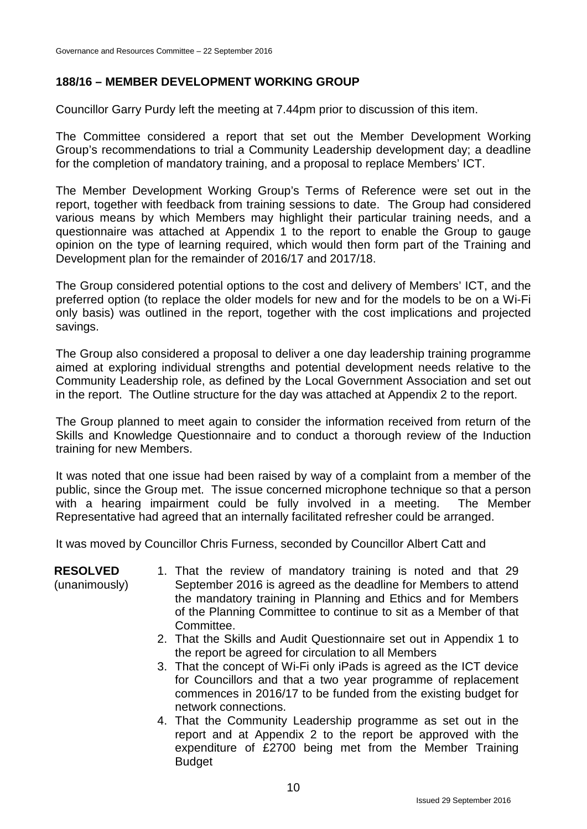# **188/16 – MEMBER DEVELOPMENT WORKING GROUP**

Councillor Garry Purdy left the meeting at 7.44pm prior to discussion of this item.

The Committee considered a report that set out the Member Development Working Group's recommendations to trial a Community Leadership development day; a deadline for the completion of mandatory training, and a proposal to replace Members' ICT.

The Member Development Working Group's Terms of Reference were set out in the report, together with feedback from training sessions to date. The Group had considered various means by which Members may highlight their particular training needs, and a questionnaire was attached at Appendix 1 to the report to enable the Group to gauge opinion on the type of learning required, which would then form part of the Training and Development plan for the remainder of 2016/17 and 2017/18.

The Group considered potential options to the cost and delivery of Members' ICT, and the preferred option (to replace the older models for new and for the models to be on a Wi-Fi only basis) was outlined in the report, together with the cost implications and projected savings.

The Group also considered a proposal to deliver a one day leadership training programme aimed at exploring individual strengths and potential development needs relative to the Community Leadership role, as defined by the Local Government Association and set out in the report. The Outline structure for the day was attached at Appendix 2 to the report.

The Group planned to meet again to consider the information received from return of the Skills and Knowledge Questionnaire and to conduct a thorough review of the Induction training for new Members.

It was noted that one issue had been raised by way of a complaint from a member of the public, since the Group met. The issue concerned microphone technique so that a person with a hearing impairment could be fully involved in a meeting. The Member Representative had agreed that an internally facilitated refresher could be arranged.

It was moved by Councillor Chris Furness, seconded by Councillor Albert Catt and

| <b>RESOLVED</b><br>(unanimously) | 1. That the review of mandatory training is noted and that 29<br>September 2016 is agreed as the deadline for Members to attend<br>the mandatory training in Planning and Ethics and for Members<br>of the Planning Committee to continue to sit as a Member of that<br>Committee. |
|----------------------------------|------------------------------------------------------------------------------------------------------------------------------------------------------------------------------------------------------------------------------------------------------------------------------------|
|                                  | 2. That the Skills and Audit Questionnaire set out in Appendix 1 to<br>the report be agreed for circulation to all Members                                                                                                                                                         |
|                                  | 3. That the concept of Wi-Fi only iPads is agreed as the ICT device<br>for Councillors and that a two year programme of replacement<br>commences in 2016/17 to be funded from the existing budget for<br>network connections.                                                      |
|                                  | 4. That the Community Leadership programme as set out in the<br>report and at Appendix 2 to the report be approved with the                                                                                                                                                        |

**Budget**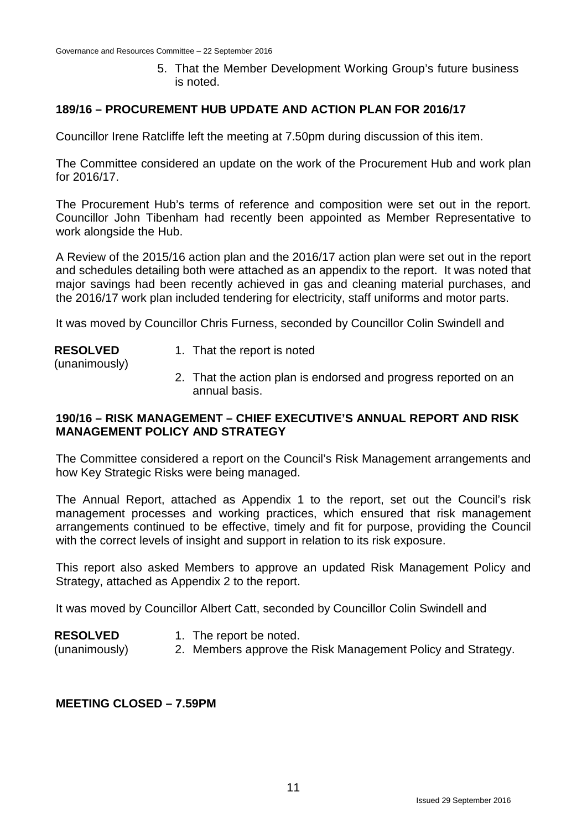5. That the Member Development Working Group's future business is noted.

## **189/16 – PROCUREMENT HUB UPDATE AND ACTION PLAN FOR 2016/17**

Councillor Irene Ratcliffe left the meeting at 7.50pm during discussion of this item.

The Committee considered an update on the work of the Procurement Hub and work plan for 2016/17.

The Procurement Hub's terms of reference and composition were set out in the report. Councillor John Tibenham had recently been appointed as Member Representative to work alongside the Hub.

A Review of the 2015/16 action plan and the 2016/17 action plan were set out in the report and schedules detailing both were attached as an appendix to the report. It was noted that major savings had been recently achieved in gas and cleaning material purchases, and the 2016/17 work plan included tendering for electricity, staff uniforms and motor parts.

It was moved by Councillor Chris Furness, seconded by Councillor Colin Swindell and

#### **RESOLVED**

- 1. That the report is noted
- (unanimously)
- 2. That the action plan is endorsed and progress reported on an annual basis.

## **190/16 – RISK MANAGEMENT – CHIEF EXECUTIVE'S ANNUAL REPORT AND RISK MANAGEMENT POLICY AND STRATEGY**

The Committee considered a report on the Council's Risk Management arrangements and how Key Strategic Risks were being managed.

The Annual Report, attached as Appendix 1 to the report, set out the Council's risk management processes and working practices, which ensured that risk management arrangements continued to be effective, timely and fit for purpose, providing the Council with the correct levels of insight and support in relation to its risk exposure.

This report also asked Members to approve an updated Risk Management Policy and Strategy, attached as Appendix 2 to the report.

It was moved by Councillor Albert Catt, seconded by Councillor Colin Swindell and

- **RESOLVED** 1. The report be noted.
- (unanimously) 2. Members approve the Risk Management Policy and Strategy.

## **MEETING CLOSED – 7.59PM**